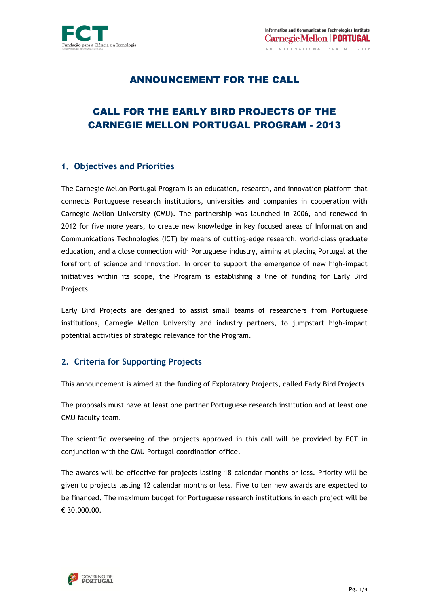

## ANNOUNCEMENT FOR THE CALL

# CALL FOR THE EARLY BIRD PROJECTS OF THE CARNEGIE MELLON PORTUGAL PROGRAM - 2013

### **1. Objectives and Priorities**

The Carnegie Mellon Portugal Program is an education, research, and innovation platform that connects Portuguese research institutions, universities and companies in cooperation with Carnegie Mellon University (CMU). The partnership was launched in 2006, and renewed in 2012 for five more years, to create new knowledge in key focused areas of Information and Communications Technologies (ICT) by means of cutting-edge research, world-class graduate education, and a close connection with Portuguese industry, aiming at placing Portugal at the forefront of science and innovation. In order to support the emergence of new high-impact initiatives within its scope, the Program is establishing a line of funding for Early Bird Projects.

Early Bird Projects are designed to assist small teams of researchers from Portuguese institutions, Carnegie Mellon University and industry partners, to jumpstart high-impact potential activities of strategic relevance for the Program.

## **2. Criteria for Supporting Projects**

This announcement is aimed at the funding of Exploratory Projects, called Early Bird Projects.

The proposals must have at least one partner Portuguese research institution and at least one CMU faculty team.

The scientific overseeing of the projects approved in this call will be provided by FCT in conjunction with the CMU Portugal coordination office.

The awards will be effective for projects lasting 18 calendar months or less. Priority will be given to projects lasting 12 calendar months or less. Five to ten new awards are expected to be financed. The maximum budget for Portuguese research institutions in each project will be € 30,000.00.

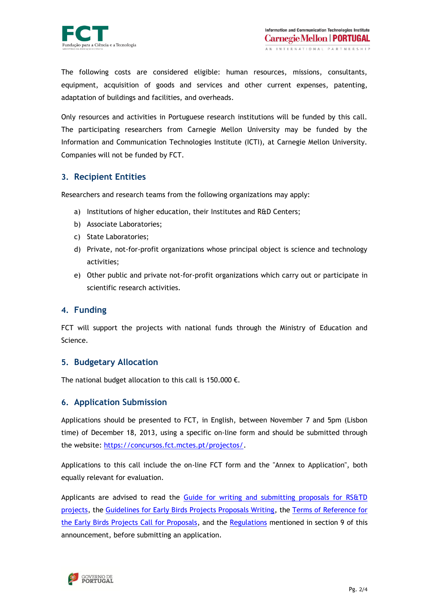

The following costs are considered eligible: human resources, missions, consultants, equipment, acquisition of goods and services and other current expenses, patenting, adaptation of buildings and facilities, and overheads.

Only resources and activities in Portuguese research institutions will be funded by this call. The participating researchers from Carnegie Mellon University may be funded by the Information and Communication Technologies Institute (ICTI), at Carnegie Mellon University. Companies will not be funded by FCT.

## **3. Recipient Entities**

Researchers and research teams from the following organizations may apply:

- a) Institutions of higher education, their Institutes and R&D Centers;
- b) Associate Laboratories;
- c) State Laboratories;
- d) Private, not-for-profit organizations whose principal object is science and technology activities;
- e) Other public and private not-for-profit organizations which carry out or participate in scientific research activities.

### **4. Funding**

FCT will support the projects with national funds through the Ministry of Education and Science.

### **5. Budgetary Allocation**

The national budget allocation to this call is 150.000  $\epsilon$ .

### **6. Application Submission**

Applications should be presented to FCT, in English, between November 7 and 5pm (Lisbon time) of December 18, 2013, using a specific on-line form and should be submitted through the website: [https://concursos.fct.mctes.pt/projectos/.](https://concursos.fct.mctes.pt/projectos/)

Applications to this call include the on-line FCT form and the "Annex to Application", both equally relevant for evaluation.

Applicants are advised to read the [Guide for writing and submitting proposals for RS&TD](http://www.fct.pt/apoios/projectos/guiao_en.pdf)  [projects,](http://www.fct.pt/apoios/projectos/guiao_en.pdf) the [Guidelines for Early Birds Projects Proposals Writing,](http://www.fct.pt/apoios/projectos/concursos/cmu/2013a/docs/ProposalGuidelines_CMU_EPB_2013.pdf) the [Terms of Reference for](http://www.fct.pt/apoios/projectos/concursos/cmu/2013a/docs/Terms_of_Reference_CMU_EPB_2013.pdf)  [the Early Birds Projects Call for Proposals,](http://www.fct.pt/apoios/projectos/concursos/cmu/2013a/docs/Terms_of_Reference_CMU_EPB_2013.pdf) and the [Regulations](http://www.fct.pt/apoios/projectos/regulamento.phtml.en) mentioned in section 9 of this announcement, before submitting an application.

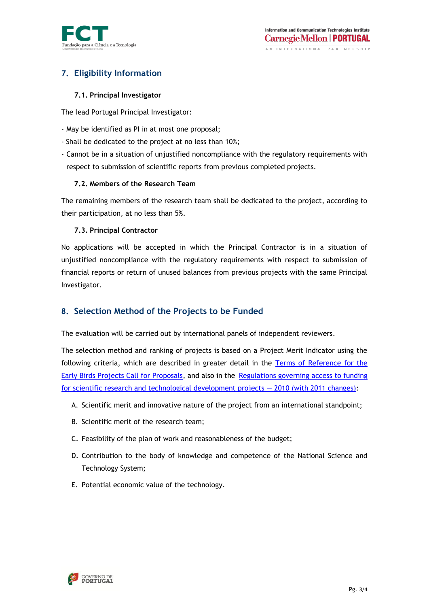

# **7. Eligibility Information**

#### **7.1. Principal Investigator**

The lead Portugal Principal Investigator:

- May be identified as PI in at most one proposal;
- Shall be dedicated to the project at no less than 10%;
- Cannot be in a situation of unjustified noncompliance with the regulatory requirements with respect to submission of scientific reports from previous completed projects.

#### **7.2. Members of the Research Team**

The remaining members of the research team shall be dedicated to the project, according to their participation, at no less than 5%.

#### **7.3. Principal Contractor**

No applications will be accepted in which the Principal Contractor is in a situation of unjustified noncompliance with the regulatory requirements with respect to submission of financial reports or return of unused balances from previous projects with the same Principal Investigator.

## **8. Selection Method of the Projects to be Funded**

The evaluation will be carried out by international panels of independent reviewers.

The selection method and ranking of projects is based on a Project Merit Indicator using the following criteria, which are described in greater detail in the [Terms of Reference for the](http://www.fct.pt/apoios/projectos/concursos/cmu/2013a/docs/Terms_of_Reference_CMU_EPB_2013.pdf)  [Early Birds Projects Call for Proposals,](http://www.fct.pt/apoios/projectos/concursos/cmu/2013a/docs/Terms_of_Reference_CMU_EPB_2013.pdf) and also in the [Regulations governing access to funding](http://www.fct.pt/apoios/projectos/regulamento.phtml.en)  [for scientific research and technological development projects](http://www.fct.pt/apoios/projectos/regulamento.phtml.en) — 2010 (with 2011 changes):

- A. Scientific merit and innovative nature of the project from an international standpoint;
- B. Scientific merit of the research team;
- C. Feasibility of the plan of work and reasonableness of the budget;
- D. Contribution to the body of knowledge and competence of the National Science and Technology System;
- E. Potential economic value of the technology.